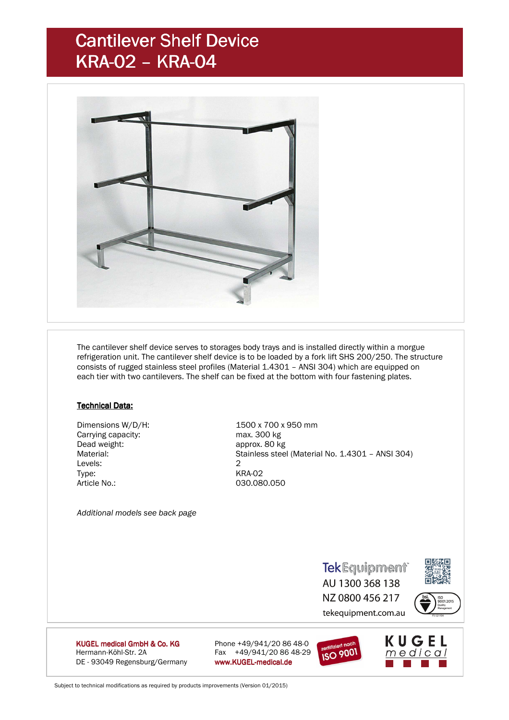## Cantilever Shelf Device KRA-02 - KRA-04



 The cantilever shelf device serves to storages body trays and is installed directly within a morgue refrigeration unit. The cantilever shelf device is to be loaded by a fork lift SHS 200/250. The structure consists of rugged stainless steel profiles (Material 1.4301 – ANSI 304) which are equipped on each tier with two cantilevers. The shelf can be fixed at the bottom with four fastening plates.

#### **Technical Data:**

 Dimensions W/D/H: 1500 x 700 x 950 mm Carrying capacity: max. 300 kg Dead weight: approx. 80 kg Levels: 2 Type: KRA-02 Article No.: 030.080.050

Material: Stainless steel (Material No. 1.4301 – ANSI 304)

 *Additional models see back page* 

**TekEquipment** AU 1300 368 138 NZ 0800 456 217 tekequipment.com.au



KUGEL medical GmbH & Co. KG Hermann-Köhl-Str. 2A Fax +49/941/20 86 48-29 DE - 93049 Regensburg/Germany www.KUGEL-medical.de

Phone  $+49/941/20 86 48-0$ 



KUGEL  $meq$ ical

Subject to technical modifications as required by products improvements (Version 01/2015)